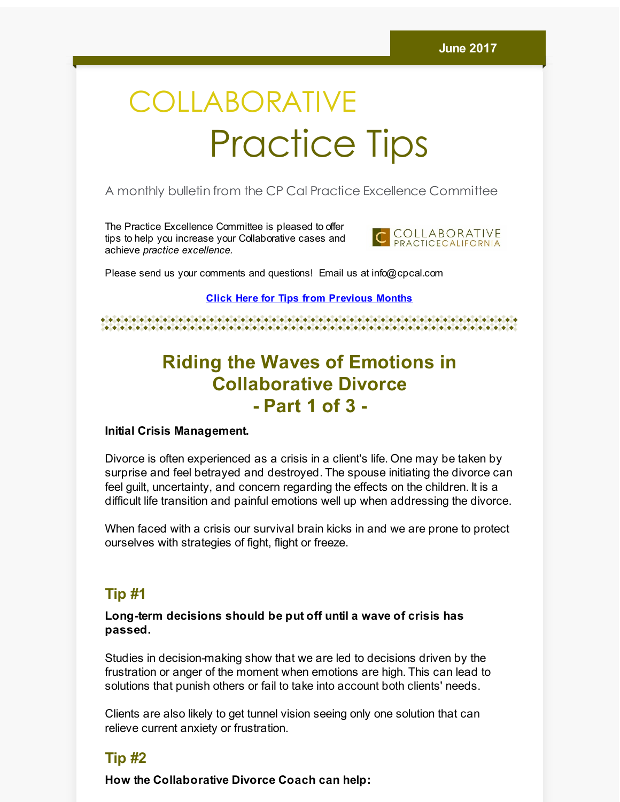# COLLABORATIVE Practice Tips

A monthly bulletin from the CP Cal Practice Excellence Committee

The Practice Excellence Committee is pleased to offer tips to help you increase your Collaborative cases and achieve *practice excellence.*



Please send us your comments and questions! Email us at info@cpcal.com

**Click Here for Tips from [Previous](http://r20.rs6.net/tn.jsp?f=001ftplneTSperBRvcqWe1nr2Qfdl6_YiML4_RECd9ruqlwNO93DAk32qeilJHLi5clZ7lH1GKj51QUqqWJ9kd8MYavztZitQ326WEfY7h8MQjmjU4ko8PqgXCfQMknTu9_UhcEQxKpZk1re2v7lYyI5OimkihtpL6N2eo97aySmmEQjs6UESSrGdYDxp6s83KDdu242mpzWq5F3N2jUcM9J0Mqi8sWp8AdqiZbvnZMQxn_H85gua6dxg==&c=&ch=) Months**

e de electricio de la ciudad de la ciudad de la ciudad de la ciudad de la ciudad de la ciudad de la ciudad de 

## **Riding the Waves of Emotions in Collaborative Divorce - Part 1 of 3 -**

#### **Initial Crisis Management.**

Divorce is often experienced as a crisis in a client's life. One may be taken by surprise and feel betrayed and destroyed. The spouse initiating the divorce can feel guilt, uncertainty, and concern regarding the effects on the children. It is a difficult life transition and painful emotions well up when addressing the divorce.

When faced with a crisis our survival brain kicks in and we are prone to protect ourselves with strategies of fight, flight or freeze.

#### **Tip #1**

#### **Long-term decisions should be put off until a wave of crisis has passed.**

Studies in decision-making show that we are led to decisions driven by the frustration or anger of the moment when emotions are high. This can lead to solutions that punish others or fail to take into account both clients' needs.

Clients are also likely to get tunnel vision seeing only one solution that can relieve current anxiety or frustration.

### **Tip #2**

**How the Collaborative Divorce Coach can help:**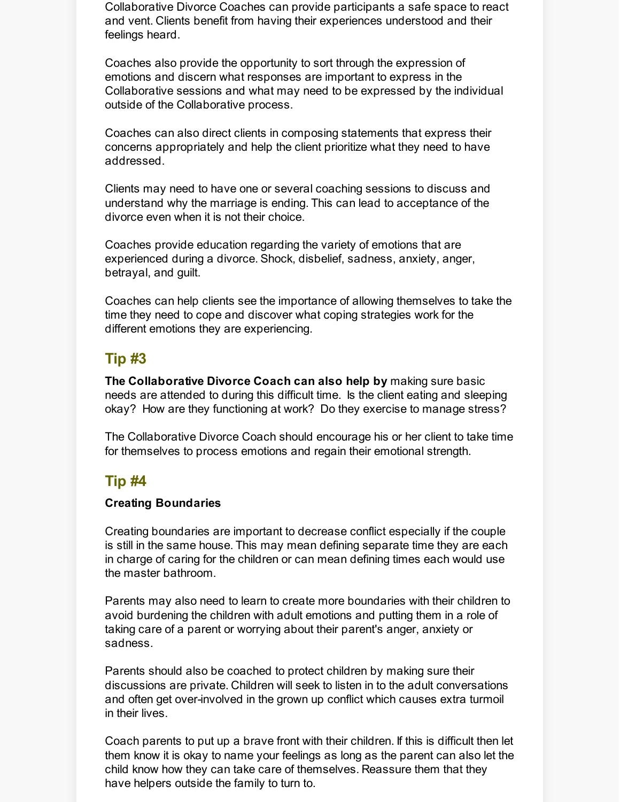Collaborative Divorce Coaches can provide participants a safe space to react and vent. Clients benefit from having their experiences understood and their feelings heard.

Coaches also provide the opportunity to sort through the expression of emotions and discern what responses are important to express in the Collaborative sessions and what may need to be expressed by the individual outside of the Collaborative process.

Coaches can also direct clients in composing statements that express their concerns appropriately and help the client prioritize what they need to have addressed.

Clients may need to have one or several coaching sessions to discuss and understand why the marriage is ending. This can lead to acceptance of the divorce even when it is not their choice.

Coaches provide education regarding the variety of emotions that are experienced during a divorce. Shock, disbelief, sadness, anxiety, anger, betrayal, and guilt.

Coaches can help clients see the importance of allowing themselves to take the time they need to cope and discover what coping strategies work for the different emotions they are experiencing.

## **Tip #3**

**The Collaborative Divorce Coach can also help by** making sure basic needs are attended to during this difficult time. Is the client eating and sleeping okay? How are they functioning at work? Do they exercise to manage stress?

The Collaborative Divorce Coach should encourage his or her client to take time for themselves to process emotions and regain their emotional strength.

## **Tip #4**

#### **Creating Boundaries**

Creating boundaries are important to decrease conflict especially if the couple is still in the same house. This may mean defining separate time they are each in charge of caring for the children or can mean defining times each would use the master bathroom.

Parents may also need to learn to create more boundaries with their children to avoid burdening the children with adult emotions and putting them in a role of taking care of a parent or worrying about their parent's anger, anxiety or sadness.

Parents should also be coached to protect children by making sure their discussions are private. Children will seek to listen in to the adult conversations and often get over-involved in the grown up conflict which causes extra turmoil in their lives.

Coach parents to put up a brave front with their children. If this is difficult then let them know it is okay to name your feelings as long as the parent can also let the child know how they can take care of themselves. Reassure them that they have helpers outside the family to turn to.